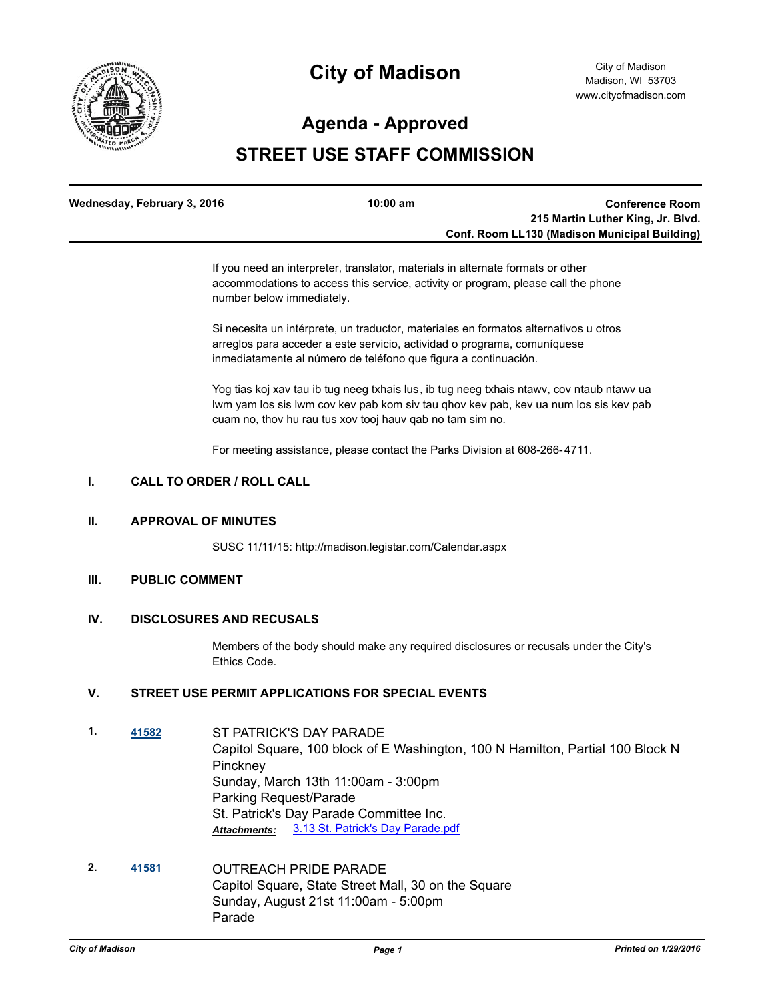

# **City of Madison**

### **Agenda - Approved**

## **STREET USE STAFF COMMISSION**

| Wednesday, February 3, 2016 | $10:00 \text{ am}$ | <b>Conference Room</b>                               |
|-----------------------------|--------------------|------------------------------------------------------|
|                             |                    | 215 Martin Luther King, Jr. Blvd.                    |
|                             |                    | <b>Conf. Room LL130 (Madison Municipal Building)</b> |

If you need an interpreter, translator, materials in alternate formats or other accommodations to access this service, activity or program, please call the phone number below immediately.

Si necesita un intérprete, un traductor, materiales en formatos alternativos u otros arreglos para acceder a este servicio, actividad o programa, comuníquese inmediatamente al número de teléfono que figura a continuación.

Yog tias koj xav tau ib tug neeg txhais lus, ib tug neeg txhais ntawv, cov ntaub ntawv ua lwm yam los sis lwm cov kev pab kom siv tau qhov kev pab, kev ua num los sis kev pab cuam no, thov hu rau tus xov tooj hauv qab no tam sim no.

For meeting assistance, please contact the Parks Division at 608-266-4711.

#### **I. CALL TO ORDER / ROLL CALL**

#### **II. APPROVAL OF MINUTES**

SUSC 11/11/15: http://madison.legistar.com/Calendar.aspx

#### **III. PUBLIC COMMENT**

#### **IV. DISCLOSURES AND RECUSALS**

Members of the body should make any required disclosures or recusals under the City's Ethics Code.

#### **V. STREET USE PERMIT APPLICATIONS FOR SPECIAL EVENTS**

- **1. [41582](http://madison.legistar.com/gateway.aspx?m=l&id=/matter.aspx?key=45972)** ST PATRICK'S DAY PARADE Capitol Square, 100 block of E Washington, 100 N Hamilton, Partial 100 Block N **Pinckney** Sunday, March 13th 11:00am - 3:00pm Parking Request/Parade St. Patrick's Day Parade Committee Inc. *Attachments:* [3.13 St. Patrick's Day Parade.pdf](http://madison.legistar.com/gateway.aspx?M=F&ID=a065131a-e7bb-406d-b9a6-33f10ef3099d.pdf)
- **2. [41581](http://madison.legistar.com/gateway.aspx?m=l&id=/matter.aspx?key=45971)** OUTREACH PRIDE PARADE Capitol Square, State Street Mall, 30 on the Square Sunday, August 21st 11:00am - 5:00pm Parade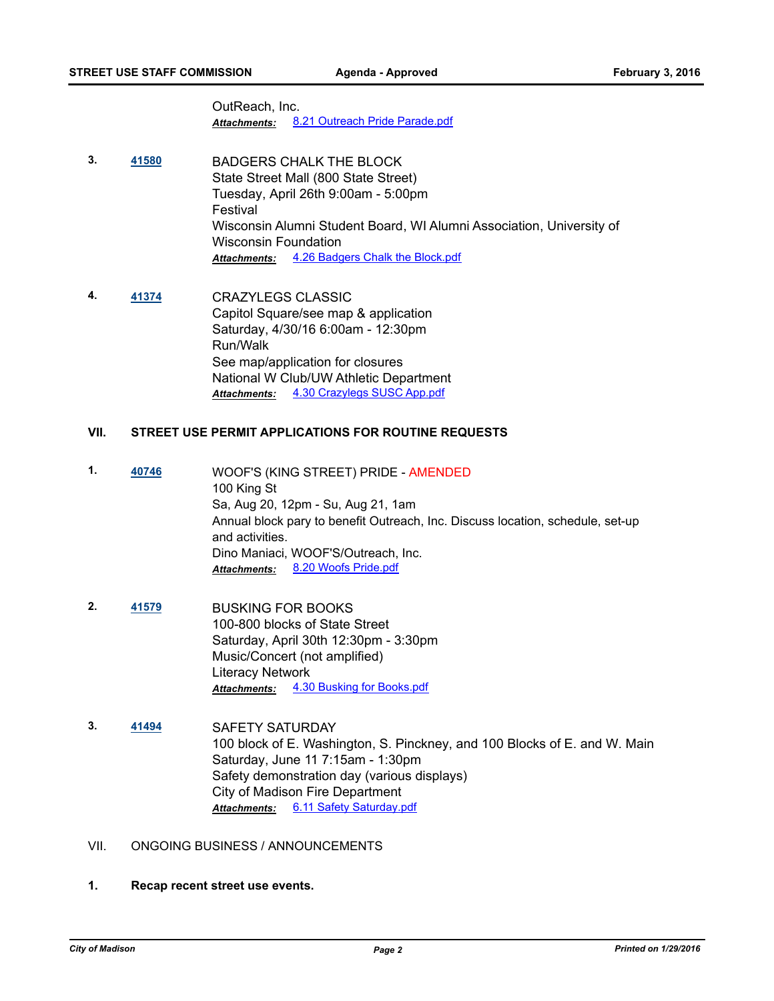OutReach, Inc. *Attachments:* [8.21 Outreach Pride Parade.pdf](http://madison.legistar.com/gateway.aspx?M=F&ID=61e8e7ca-67fb-426b-95f9-e364d5222d6d.pdf)

- **3. [41580](http://madison.legistar.com/gateway.aspx?m=l&id=/matter.aspx?key=45970)** BADGERS CHALK THE BLOCK State Street Mall (800 State Street) Tuesday, April 26th 9:00am - 5:00pm Festival Wisconsin Alumni Student Board, WI Alumni Association, University of Wisconsin Foundation *Attachments:* [4.26 Badgers Chalk the Block.pdf](http://madison.legistar.com/gateway.aspx?M=F&ID=8953a2cc-7273-4e79-ba33-3f0fa4bec63e.pdf)
- **4. [41374](http://madison.legistar.com/gateway.aspx?m=l&id=/matter.aspx?key=45791)** CRAZYLEGS CLASSIC Capitol Square/see map & application Saturday, 4/30/16 6:00am - 12:30pm Run/Walk See map/application for closures National W Club/UW Athletic Department *Attachments:* [4.30 Crazylegs SUSC App.pdf](http://madison.legistar.com/gateway.aspx?M=F&ID=f7c33826-e8f5-487d-ae5a-b5fe0fb0e2d5.pdf)

#### **VII. STREET USE PERMIT APPLICATIONS FOR ROUTINE REQUESTS**

- **1. [40746](http://madison.legistar.com/gateway.aspx?m=l&id=/matter.aspx?key=44229)** WOOF'S (KING STREET) PRIDE AMENDED 100 King St Sa, Aug 20, 12pm - Su, Aug 21, 1am Annual block pary to benefit Outreach, Inc. Discuss location, schedule, set-up and activities. Dino Maniaci, WOOF'S/Outreach, Inc. *Attachments:* [8.20 Woofs Pride.pdf](http://madison.legistar.com/gateway.aspx?M=F&ID=909084fa-0d89-4826-b8a6-1ad1a67ac545.pdf)
- **2. [41579](http://madison.legistar.com/gateway.aspx?m=l&id=/matter.aspx?key=45969)** BUSKING FOR BOOKS 100-800 blocks of State Street Saturday, April 30th 12:30pm - 3:30pm Music/Concert (not amplified) Literacy Network *Attachments:* [4.30 Busking for Books.pdf](http://madison.legistar.com/gateway.aspx?M=F&ID=ec30f80a-ab44-499b-b914-06a6f27843e9.pdf)
- **3. [41494](http://madison.legistar.com/gateway.aspx?m=l&id=/matter.aspx?key=45891)** SAFETY SATURDAY 100 block of E. Washington, S. Pinckney, and 100 Blocks of E. and W. Main Saturday, June 11 7:15am - 1:30pm Safety demonstration day (various displays) City of Madison Fire Department *Attachments:* [6.11 Safety Saturday.pdf](http://madison.legistar.com/gateway.aspx?M=F&ID=6d2a020d-cf0b-4a89-a1c6-e4049bd9da2e.pdf)

### VII. ONGOING BUSINESS / ANNOUNCEMENTS

**1. Recap recent street use events.**